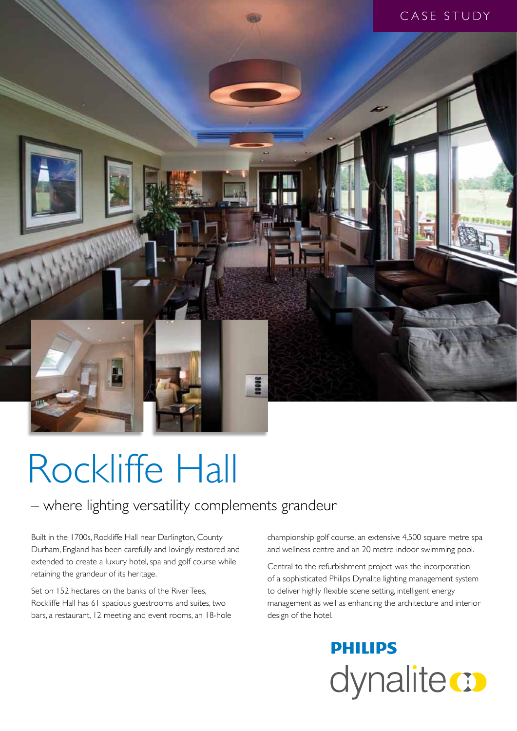

# Rockliffe Hall

### – where lighting versatility complements grandeur

Built in the 1700s, Rockliffe Hall near Darlington, County Durham, England has been carefully and lovingly restored and extended to create a luxury hotel, spa and golf course while retaining the grandeur of its heritage.

Set on 152 hectares on the banks of the River Tees, Rockliffe Hall has 61 spacious guestrooms and suites, two bars, a restaurant, 12 meeting and event rooms, an 18-hole championship golf course, an extensive 4,500 square metre spa and wellness centre and an 20 metre indoor swimming pool.

Central to the refurbishment project was the incorporation of a sophisticated Philips Dynalite lighting management system to deliver highly flexible scene setting, intelligent energy management as well as enhancing the architecture and interior design of the hotel.

> **PHILIPS** dynalite **o**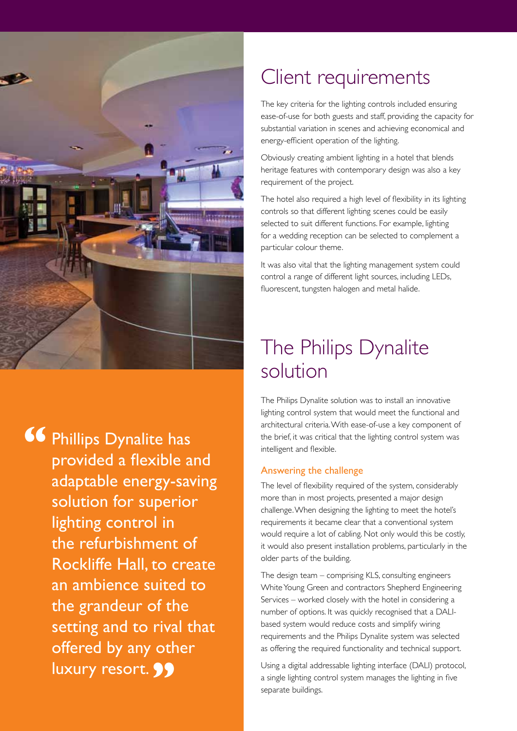

Phillips Dynalite has provided a flexible and adaptable energy-saving solution for superior lighting control in the refurbishment of Rockliffe Hall, to create an ambience suited to the grandeur of the setting and to rival that offered by any other luxury resort. 99 **"**

### Client requirements

The key criteria for the lighting controls included ensuring ease-of-use for both guests and staff, providing the capacity for substantial variation in scenes and achieving economical and energy-efficient operation of the lighting.

Obviously creating ambient lighting in a hotel that blends heritage features with contemporary design was also a key requirement of the project.

The hotel also required a high level of flexibility in its lighting controls so that different lighting scenes could be easily selected to suit different functions. For example, lighting for a wedding reception can be selected to complement a particular colour theme.

It was also vital that the lighting management system could control a range of different light sources, including LEDs, fluorescent, tungsten halogen and metal halide.

## The Philips Dynalite solution

The Philips Dynalite solution was to install an innovative lighting control system that would meet the functional and architectural criteria. With ease-of-use a key component of the brief, it was critical that the lighting control system was intelligent and flexible.

#### Answering the challenge

The level of flexibility required of the system, considerably more than in most projects, presented a major design challenge. When designing the lighting to meet the hotel's requirements it became clear that a conventional system would require a lot of cabling. Not only would this be costly, it would also present installation problems, particularly in the older parts of the building.

The design team – comprising KLS, consulting engineers White Young Green and contractors Shepherd Engineering Services – worked closely with the hotel in considering a number of options. It was quickly recognised that a DALIbased system would reduce costs and simplify wiring requirements and the Philips Dynalite system was selected as offering the required functionality and technical support.

Using a digital addressable lighting interface (DALI) protocol, a single lighting control system manages the lighting in five separate buildings.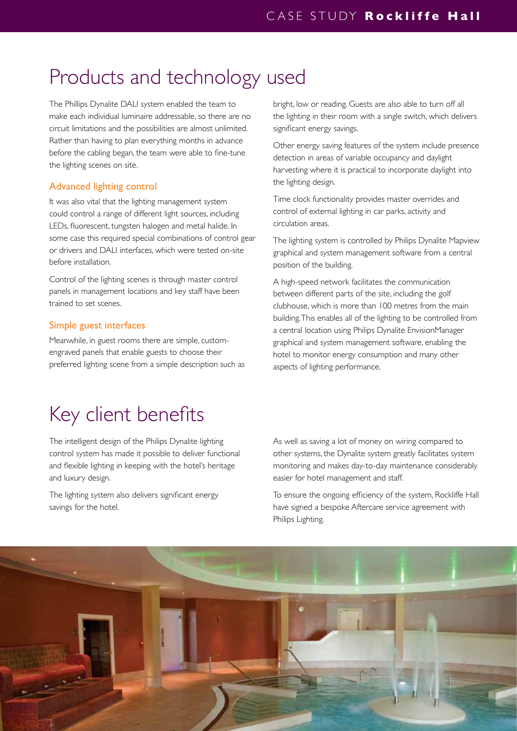### Products and technology used

The Phillips Dynalite DALI system enabled the team to make each individual luminaire addressable, so there are no circuit limitations and the possibilities are almost unlimited. Rather than having to plan everything months in advance before the cabling began, the team were able to fine-tune the lighting scenes on site.

#### Advanced lighting control

It was also vital that the lighting management system could control a range of different light sources, including LEDs, fluorescent, tungsten halogen and metal halide. In some case this required special combinations of control gear or drivers and DALI interfaces, which were tested on-site before installation.

Control of the lighting scenes is through master control panels in management locations and key staff have been trained to set scenes.

#### Simple guest interfaces

Meanwhile, in guest rooms there are simple, customengraved panels that enable guests to choose their preferred lighting scene from a simple description such as bright, low or reading. Guests are also able to turn off all the lighting in their room with a single switch, which delivers significant energy savings.

Other energy saving features of the system include presence detection in areas of variable occupancy and daylight harvesting where it is practical to incorporate daylight into the lighting design.

Time clock functionality provides master overrides and control of external lighting in car parks, activity and circulation areas.

The lighting system is controlled by Philips Dynalite Mapview graphical and system management software from a central position of the building.

A high-speed network facilitates the communication between different parts of the site, including the golf clubhouse, which is more than 100 metres from the main building. This enables all of the lighting to be controlled from a central location using Philips Dynalite EnvisionManager graphical and system management software, enabling the hotel to monitor energy consumption and many other aspects of lighting performance.

### Key client benefits

The intelligent design of the Philips Dynalite lighting control system has made it possible to deliver functional and flexible lighting in keeping with the hotel's heritage and luxury design.

The lighting system also delivers significant energy savings for the hotel.

As well as saving a lot of money on wiring compared to other systems, the Dynalite system greatly facilitates system monitoring and makes day-to-day maintenance considerably easier for hotel management and staff.

To ensure the ongoing efficiency of the system, Rockliffe Hall have signed a bespoke Aftercare service agreement with Philips Lighting.